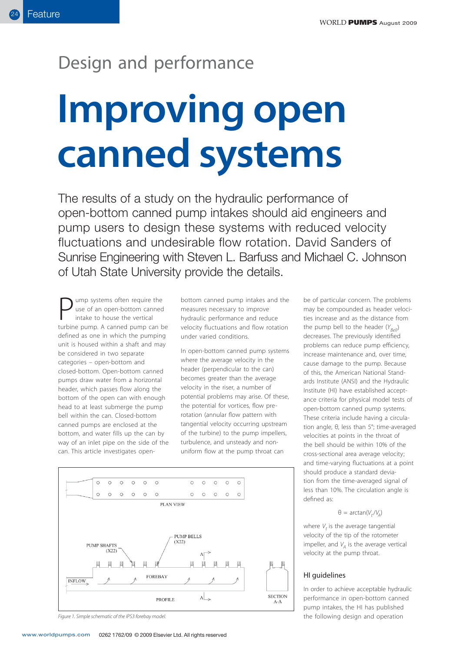## <span id="page-0-0"></span>Design and performance

# **Improving open canned systems**

The results of a study on the hydraulic performance of open-bottom canned pump intakes should aid engineers and pump users to design these systems with reduced velocity fluctuations and undesirable flow rotation. David Sanders of Sunrise Engineering with Steven L. Barfuss and Michael C. Johnson of Utah State University provide the details.

 $\sum_{\text{use of an open-bottom canned} \text{intake to house the vertical} \text{turbine pump. A canned pump can be}$ ump systems often require the use of an open-bottom canned intake to house the vertical defined as one in which the pumping unit is housed within a shaft and may be considered in two separate categories – open-bottom and closed-bottom. Open-bottom canned pumps draw water from a horizontal header, which passes flow along the bottom of the open can with enough head to at least submerge the pump bell within the can. Closed-bottom canned pumps are enclosed at the bottom, and water fills up the can by way of an inlet pipe on the side of the can. This article investigates open-

bottom canned pump intakes and the measures necessary to improve hydraulic performance and reduce velocity fluctuations and flow rotation under varied conditions.

In open-bottom canned pump systems where the average velocity in the header (perpendicular to the can) becomes greater than the average velocity in the riser, a number of potential problems may arise. Of these, the potential for vortices, flow prerotation (annular flow pattern with tangential velocity occurring upstream of the turbine) to the pump impellers, turbulence, and unsteady and nonuniform flow at the pump throat can



be of particular concern. The problems may be compounded as header velocities increase and as the distance from the pump bell to the header  $(Y_{Ball})$ decreases. The previously identified problems can reduce pump efficiency, increase maintenance and, over time, cause damage to the pump. Because of this, the American National Standards Institute (ANSI) and the Hydraulic Institute (HI) have established acceptance criteria for physical model tests of open-bottom canned pump systems. These criteria include having a circulation angle, θ, less than 5°; time-averaged velocities at points in the throat of the bell should be within 10% of the cross-sectional area average velocity; and time-varying fluctuations at a point should produce a standard deviation from the time-averaged signal of less than 10%. The circulation angle is defined as:

$$
\theta = \arctan(V_t/V_A)
$$

where  $V_t$  is the average tangential velocity of the tip of the rotometer impeller, and  $V_A$  is the average vertical velocity at the pump throat.

#### HI guidelines

In order to achieve acceptable hydraulic performance in open-bottom canned pump intakes, the HI has published Figure 1. Simple schematic of the IPS3 forebay model. The following design and operation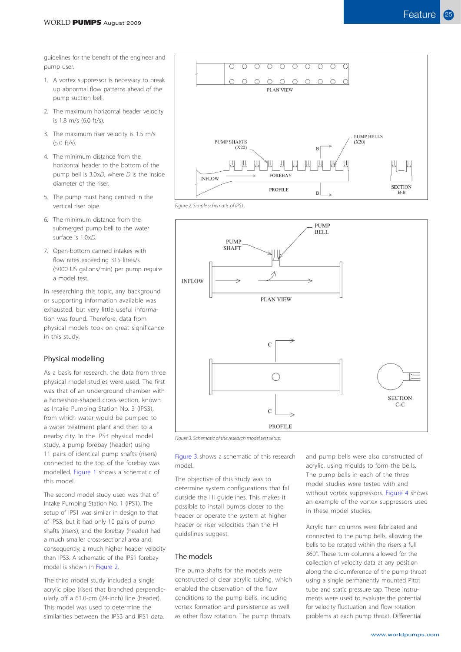guidelines for the benefit of the engineer and pump user.

- 1. A vortex suppressor is necessary to break up abnormal flow patterns ahead of the pump suction bell.
- 2. The maximum horizontal header velocity is 1.8 m/s (6.0 ft/s).
- 3. The maximum riser velocity is 1.5 m/s  $(5.0 \text{ ft/s})$
- 4. The minimum distance from the horizontal header to the bottom of the pump bell is  $3.0xD$ , where  $D$  is the inside diameter of the riser.
- 5. The pump must hang centred in the vertical riser pipe.
- 6. The minimum distance from the submerged pump bell to the water surface is 1.0xD.
- 7. Open-bottom canned intakes with flow rates exceeding 315 litres/s (5000 US gallons/min) per pump require a model test.

In researching this topic, any background or supporting information available was exhausted, but very little useful information was found. Therefore, data from physical models took on great significance in this study.

### Physical modelling

As a basis for research, the data from three physical model studies were used. The first was that of an underground chamber with a horseshoe-shaped cross-section, known as Intake Pumping Station No. 3 (IPS3), from which water would be pumped to a water treatment plant and then to a nearby city. In the IPS3 physical model study, a pump forebay (header) using 11 pairs of identical pump shafts (risers) connected to the top of the forebay was modelled[. Figure 1](#page-0-0) shows a schematic of this model.

The second model study used was that of Intake Pumping Station No. 1 (IPS1). The setup of IPS1 was similar in design to that of IPS3, but it had only 10 pairs of pump shafts (risers), and the forebay (header) had a much smaller cross-sectional area and, consequently, a much higher header velocity than IPS3. A schematic of the IPS1 forebay model is shown in Figure 2.

The third model study included a single acrylic pipe (riser) that branched perpendicularly off a 61.0-cm (24-inch) line (header). This model was used to determine the similarities between the IPS3 and IPS1 data.







Figure 3. Schematic of the research model test setup.

Figure 3 shows a schematic of this research model.

The objective of this study was to determine system configurations that fall outside the HI guidelines. This makes it possible to install pumps closer to the header or operate the system at higher header or riser velocities than the HI guidelines suggest.

#### The models

The pump shafts for the models were constructed of clear acrylic tubing, which enabled the observation of the flow conditions to the pump bells, including vortex formation and persistence as well as other flow rotation. The pump throats

and pump bells were also constructed of acrylic, using moulds to form the bells. The pump bells in each of the three model studies were tested with and without vortex suppressors. [Figure 4](#page-2-0) shows an example of the vortex suppressors used in these model studies.

Acrylic turn columns were fabricated and connected to the pump bells, allowing the bells to be rotated within the risers a full 360°. These turn columns allowed for the collection of velocity data at any position along the circumference of the pump throat using a single permanently mounted Pitot tube and static pressure tap. These instruments were used to evaluate the potential for velocity fluctuation and flow rotation problems at each pump throat. Differential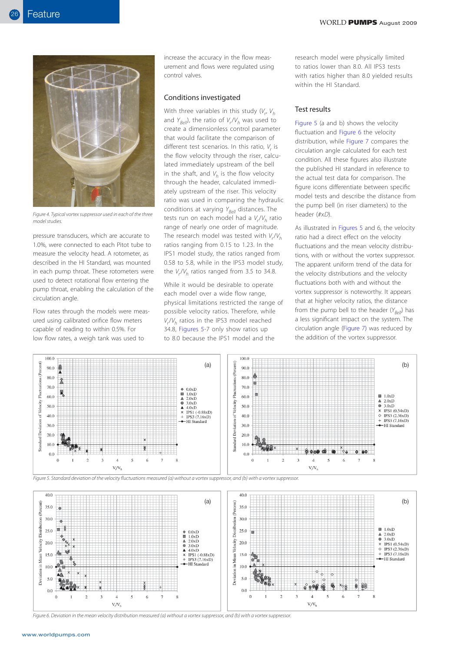<span id="page-2-0"></span>

Figure 4. Typical vortex suppressor used in each of the three model studies.

pressure transducers, which are accurate to 1.0%, were connected to each Pitot tube to measure the velocity head. A rotometer, as described in the HI Standard, was mounted in each pump throat. These rotometers were used to detect rotational flow entering the pump throat, enabling the calculation of the circulation angle.

Flow rates through the models were measured using calibrated orifice flow meters capable of reading to within 0.5%. For low flow rates, a weigh tank was used to

increase the accuracy in the flow measurement and flows were regulated using control valves.

#### Conditions investigated

With three variables in this study  $(V_{r}, V_{h})$ and  $Y_{\text{Bell}}$ ), the ratio of  $V_r/V_h$  was used to create a dimensionless control parameter that would facilitate the comparison of different test scenarios. In this ratio,  $V_r$  is the flow velocity through the riser, calculated immediately upstream of the bell in the shaft, and  $V_h$  is the flow velocity through the header, calculated immediately upstream of the riser. This velocity ratio was used in comparing the hydraulic conditions at varying  $Y_{Bell}$  distances. The tests run on each model had a  $V_r/V_h$  ratio range of nearly one order of magnitude. The research model was tested with  $V_r/V_h^{}$ ratios ranging from 0.15 to 1.23. In the IPS1 model study, the ratios ranged from 0.58 to 5.8, while in the IPS3 model study, the  $V_r/V_h$  ratios ranged from 3.5 to 34.8.

While it would be desirable to operate each model over a wide flow range, physical limitations restricted the range of possible velocity ratios. Therefore, while  $V_r/V_h$  ratios in the IPS3 model reached 34.8, Figures 5-7 only show ratios up to 8.0 because the IPS1 model and the

research model were physically limited to ratios lower than 8.0. All IPS3 tests with ratios higher than 8.0 yielded results within the HI Standard.

#### Test results

Figure 5 (a and b) shows the velocity fluctuation and Figure 6 the velocity distribution, while [Figure 7](#page-3-0) compares the circulation angle calculated for each test condition. All these figures also illustrate the published HI standard in reference to the actual test data for comparison. The figure icons differentiate between specific model tests and describe the distance from the pump bell (in riser diameters) to the header (#xD).

As illustrated in Figures 5 and 6, the velocity ratio had a direct effect on the velocity fluctuations and the mean velocity distributions, with or without the vortex suppressor. The apparent uniform trend of the data for the velocity distributions and the velocity fluctuations both with and without the vortex suppressor is noteworthy. It appears that at higher velocity ratios, the distance from the pump bell to the header  $(Y_{Ball})$  has a less significant impact on the system. The circulation angle [\(Figure 7\)](#page-3-0) was reduced by the addition of the vortex suppressor.



Figure 5. Standard deviation of the velocity fluctuations measured (a) without a vortex suppressor, and (b) with a vortex suppressor.



Figure 6. Deviation in the mean velocity distribution measured (a) without a vortex suppressor, and (b) with a vortex suppressor.